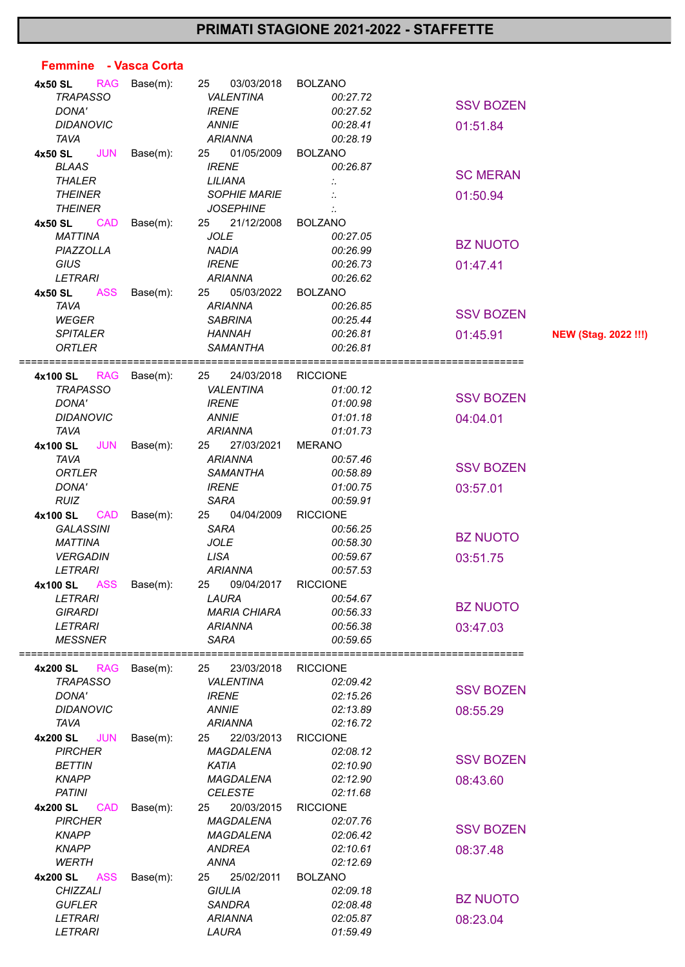## **PRIMATI STAGIONE 2021-2022 - STAFFETTE**

| Femmine - Vasca Corta  |          |                     |                 |                  |                             |
|------------------------|----------|---------------------|-----------------|------------------|-----------------------------|
| 4x50 SL<br><b>RAG</b>  | Base(m): | 25<br>03/03/2018    | <b>BOLZANO</b>  |                  |                             |
| <b>TRAPASSO</b>        |          | <b>VALENTINA</b>    | 00:27.72        |                  |                             |
| DONA'                  |          | <b>IRENE</b>        | 00:27.52        | <b>SSV BOZEN</b> |                             |
| <b>DIDANOVIC</b>       |          | <b>ANNIE</b>        | 00:28.41        | 01:51.84         |                             |
| <b>TAVA</b>            |          | <b>ARIANNA</b>      | 00:28.19        |                  |                             |
| <b>JUN</b><br>4x50 SL  | Base(m): | 25<br>01/05/2009    | <b>BOLZANO</b>  |                  |                             |
| <b>BLAAS</b>           |          | <b>IRENE</b>        | 00:26.87        |                  |                             |
| <b>THALER</b>          |          | LILIANA             |                 | <b>SC MERAN</b>  |                             |
| <b>THEINER</b>         |          | <b>SOPHIE MARIE</b> |                 | 01:50.94         |                             |
| <b>THEINER</b>         |          | <b>JOSEPHINE</b>    |                 |                  |                             |
| 4x50 SL<br><b>CAD</b>  | Base(m): | 21/12/2008<br>25    | <b>BOLZANO</b>  |                  |                             |
| <b>MATTINA</b>         |          | <b>JOLE</b>         | 00:27.05        |                  |                             |
| PIAZZOLLA              |          | <b>NADIA</b>        | 00:26.99        | <b>BZ NUOTO</b>  |                             |
| <b>GIUS</b>            |          | <b>IRENE</b>        | 00:26.73        | 01:47.41         |                             |
| <b>LETRARI</b>         |          | <b>ARIANNA</b>      | 00:26.62        |                  |                             |
| <b>ASS</b><br>4x50 SL  | Base(m): | 05/03/2022<br>25    | <b>BOLZANO</b>  |                  |                             |
| <b>TAVA</b>            |          | <b>ARIANNA</b>      | 00:26.85        |                  |                             |
| <b>WEGER</b>           |          | <b>SABRINA</b>      | 00:25.44        | <b>SSV BOZEN</b> |                             |
| <b>SPITALER</b>        |          | <b>HANNAH</b>       | 00:26.81        | 01:45.91         | <b>NEW (Stag. 2022 !!!)</b> |
| <b>ORTLER</b>          |          | <b>SAMANTHA</b>     | 00:26.81        |                  |                             |
|                        |          |                     |                 |                  |                             |
| 4x100 SL<br><b>RAG</b> | Base(m): | 24/03/2018<br>25    | <b>RICCIONE</b> |                  |                             |
| <b>TRAPASSO</b>        |          | <b>VALENTINA</b>    | 01:00.12        |                  |                             |
| DONA'                  |          | <b>IRENE</b>        | 01:00.98        | <b>SSV BOZEN</b> |                             |
| <b>DIDANOVIC</b>       |          | <b>ANNIE</b>        | 01:01.18        | 04:04.01         |                             |
| <b>TAVA</b>            |          | <b>ARIANNA</b>      | 01:01.73        |                  |                             |
| <b>JUN</b><br>4x100 SL | Base(m): | 27/03/2021<br>25    | <b>MERANO</b>   |                  |                             |
| <b>TAVA</b>            |          | <b>ARIANNA</b>      | 00:57.46        |                  |                             |
| <b>ORTLER</b>          |          | <b>SAMANTHA</b>     | 00:58.89        | <b>SSV BOZEN</b> |                             |
| DONA'                  |          | <b>IRENE</b>        | 01:00.75        | 03:57.01         |                             |
| <b>RUIZ</b>            |          | <b>SARA</b>         | 00:59.91        |                  |                             |
| 4x100 SL<br><b>CAD</b> | Base(m): | 25<br>04/04/2009    | <b>RICCIONE</b> |                  |                             |
| <b>GALASSINI</b>       |          | <b>SARA</b>         | 00:56.25        |                  |                             |
| <b>MATTINA</b>         |          | <b>JOLE</b>         | 00:58.30        | <b>BZ NUOTO</b>  |                             |
| <b>VERGADIN</b>        |          | <b>LISA</b>         | 00:59.67        | 03:51.75         |                             |
| <b>LETRARI</b>         |          | <b>ARIANNA</b>      | 00:57.53        |                  |                             |
| <b>ASS</b><br>4x100 SL | Base(m): | 09/04/2017<br>25    | <b>RICCIONE</b> |                  |                             |
| <b>LETRARI</b>         |          | LAURA               | 00:54.67        |                  |                             |
| <b>GIRARDI</b>         |          | <b>MARIA CHIARA</b> | 00:56.33        | <b>BZ NUOTO</b>  |                             |
| <b>LETRARI</b>         |          | <b>ARIANNA</b>      | 00:56.38        | 03:47.03         |                             |
| <b>MESSNER</b>         |          | <b>SARA</b>         | 00:59.65        |                  |                             |
|                        |          |                     |                 |                  |                             |
| 4x200 SL<br><b>RAG</b> | Base(m): | 23/03/2018<br>25    | <b>RICCIONE</b> |                  |                             |
| <b>TRAPASSO</b>        |          | <b>VALENTINA</b>    | 02:09.42        |                  |                             |
| DONA'                  |          | <b>IRENE</b>        | 02:15.26        | <b>SSV BOZEN</b> |                             |
| <b>DIDANOVIC</b>       |          | <b>ANNIE</b>        | 02:13.89        | 08:55.29         |                             |
| <b>TAVA</b>            |          | <b>ARIANNA</b>      | 02:16.72        |                  |                             |
| 4x200 SL<br><b>JUN</b> | Base(m): | 25<br>22/03/2013    | <b>RICCIONE</b> |                  |                             |
| <b>PIRCHER</b>         |          | MAGDALENA           | 02:08.12        |                  |                             |
| <b>BETTIN</b>          |          | <b>KATIA</b>        | 02:10.90        | <b>SSV BOZEN</b> |                             |
| <b>KNAPP</b>           |          | MAGDALENA           | 02:12.90        | 08:43.60         |                             |
| <b>PATINI</b>          |          | <b>CELESTE</b>      | 02:11.68        |                  |                             |
| 4x200 SL<br><b>CAD</b> | Base(m): | 20/03/2015<br>25    | <b>RICCIONE</b> |                  |                             |
| <b>PIRCHER</b>         |          | <b>MAGDALENA</b>    | 02:07.76        |                  |                             |
| <b>KNAPP</b>           |          | MAGDALENA           | 02:06.42        | <b>SSV BOZEN</b> |                             |
| <b>KNAPP</b>           |          | <b>ANDREA</b>       | 02:10.61        | 08:37.48         |                             |
| <b>WERTH</b>           |          | <b>ANNA</b>         | 02:12.69        |                  |                             |
| ASS<br>4x200 SL        | Base(m): | 25/02/2011<br>25    | <b>BOLZANO</b>  |                  |                             |
| <b>CHIZZALI</b>        |          | <b>GIULIA</b>       | 02:09.18        |                  |                             |
| <b>GUFLER</b>          |          | <b>SANDRA</b>       | 02:08.48        | <b>BZ NUOTO</b>  |                             |
| <b>LETRARI</b>         |          | <b>ARIANNA</b>      | 02:05.87        | 08:23.04         |                             |
| <b>LETRARI</b>         |          | LAURA               | 01:59.49        |                  |                             |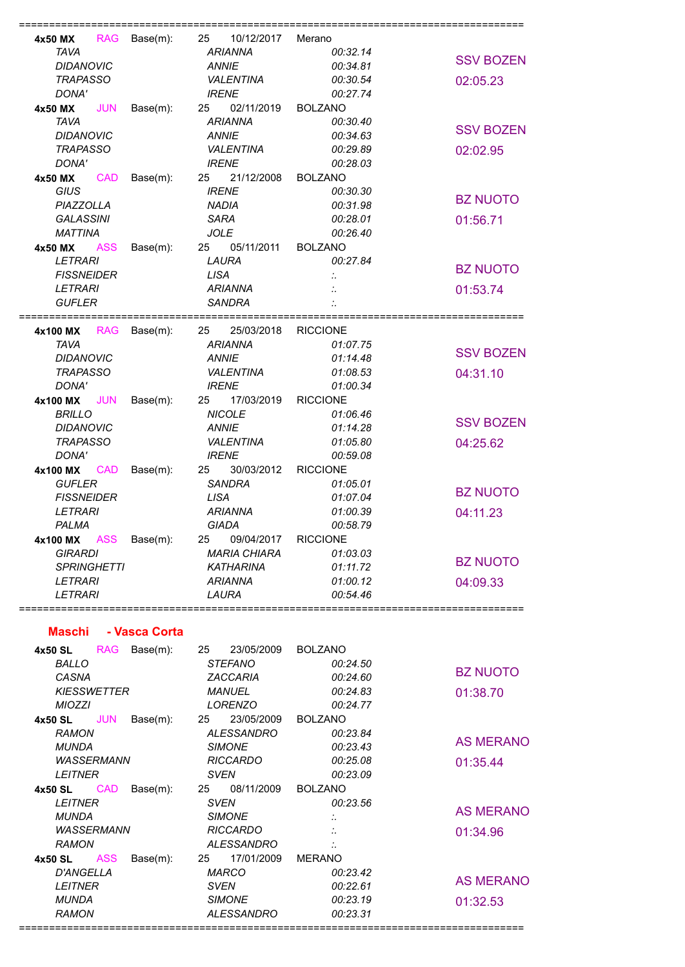| 4x50 MX<br><b>RAG</b>                                                                       | $Base(m)$ :  | 10/12/2017<br>25                                                                       | Merano                                                          |                  |
|---------------------------------------------------------------------------------------------|--------------|----------------------------------------------------------------------------------------|-----------------------------------------------------------------|------------------|
| <b>TAVA</b>                                                                                 |              | <b>ARIANNA</b>                                                                         | 00:32.14                                                        |                  |
| <b>DIDANOVIC</b>                                                                            |              | <b>ANNIE</b>                                                                           | 00:34.81                                                        | <b>SSV BOZEN</b> |
| <b>TRAPASSO</b>                                                                             |              | <b>VALENTINA</b>                                                                       | 00:30.54                                                        | 02:05.23         |
| DONA'                                                                                       |              | <b>IRENE</b>                                                                           | 00:27.74                                                        |                  |
| 4x50 MX<br><b>JUN</b>                                                                       | $Base(m)$ :  | 02/11/2019<br>25                                                                       | <b>BOLZANO</b>                                                  |                  |
| <b>TAVA</b>                                                                                 |              | <b>ARIANNA</b>                                                                         | 00:30.40                                                        | <b>SSV BOZEN</b> |
| <b>DIDANOVIC</b>                                                                            |              | <b>ANNIE</b>                                                                           | 00:34.63                                                        |                  |
| <b>TRAPASSO</b>                                                                             |              | VALENTINA                                                                              | 00:29.89                                                        | 02:02.95         |
| DONA'                                                                                       |              | <b>IRENE</b>                                                                           | 00:28.03                                                        |                  |
| 4x50 MX<br><b>CAD</b>                                                                       | $Base(m)$ :  | 21/12/2008<br>25                                                                       | <b>BOLZANO</b>                                                  |                  |
| <b>GIUS</b>                                                                                 |              | <b>IRENE</b>                                                                           | 00:30.30                                                        |                  |
| PIAZZOLLA                                                                                   |              | <b>NADIA</b>                                                                           | 00:31.98                                                        | <b>BZ NUOTO</b>  |
| <b>GALASSINI</b>                                                                            |              | <b>SARA</b>                                                                            | 00:28.01                                                        | 01:56.71         |
| <b>MATTINA</b>                                                                              |              | <b>JOLE</b>                                                                            | 00:26.40                                                        |                  |
| 4x50 MX<br><b>ASS</b>                                                                       | Base(m):     | 05/11/2011<br>25                                                                       | <b>BOLZANO</b>                                                  |                  |
| <b>LETRARI</b>                                                                              |              | LAURA                                                                                  | 00:27.84                                                        |                  |
| <b>FISSNEIDER</b>                                                                           |              | <b>LISA</b>                                                                            |                                                                 | <b>BZ NUOTO</b>  |
| <b>LETRARI</b>                                                                              |              | <b>ARIANNA</b>                                                                         |                                                                 | 01:53.74         |
| <b>GUFLER</b>                                                                               |              | <b>SANDRA</b>                                                                          |                                                                 |                  |
|                                                                                             |              |                                                                                        |                                                                 |                  |
| 4x100 MX                                                                                    | RAG Base(m): | 25/03/2018<br>25                                                                       | <b>RICCIONE</b>                                                 |                  |
| <b>TAVA</b>                                                                                 |              | <b>ARIANNA</b>                                                                         | 01:07.75                                                        |                  |
| <b>DIDANOVIC</b>                                                                            |              | <b>ANNIE</b>                                                                           | 01:14.48                                                        | <b>SSV BOZEN</b> |
| <b>TRAPASSO</b>                                                                             |              | <b>VALENTINA</b>                                                                       | 01:08.53                                                        | 04:31.10         |
| DONA'                                                                                       |              | <b>IRENE</b>                                                                           | 01:00.34                                                        |                  |
| 4x100 MX<br><b>JUN</b>                                                                      | Base(m):     | 25<br>17/03/2019                                                                       | <b>RICCIONE</b>                                                 |                  |
| <b>BRILLO</b>                                                                               |              | <b>NICOLE</b>                                                                          | 01:06.46                                                        |                  |
| <b>DIDANOVIC</b>                                                                            |              | <b>ANNIE</b>                                                                           | 01:14.28                                                        | <b>SSV BOZEN</b> |
| <b>TRAPASSO</b>                                                                             |              | VALENTINA                                                                              | 01:05.80                                                        | 04:25.62         |
| DONA'                                                                                       |              | <b>IRENE</b>                                                                           | 00:59.08                                                        |                  |
| 4x100 MX<br><b>CAD</b>                                                                      | $Base(m)$ :  | 25<br>30/03/2012                                                                       | <b>RICCIONE</b>                                                 |                  |
| <b>GUFLER</b>                                                                               |              | <b>SANDRA</b>                                                                          | 01:05.01                                                        |                  |
| <b>FISSNEIDER</b>                                                                           |              | <b>LISA</b>                                                                            | 01:07.04                                                        | <b>BZ NUOTO</b>  |
| <b>LETRARI</b>                                                                              |              | <b>ARIANNA</b>                                                                         | 01:00.39                                                        | 04:11.23         |
| PALMA                                                                                       |              | <b>GIADA</b>                                                                           | 00:58.79                                                        |                  |
|                                                                                             |              |                                                                                        |                                                                 |                  |
|                                                                                             |              |                                                                                        |                                                                 |                  |
|                                                                                             |              |                                                                                        |                                                                 | <b>BZ NUOTO</b>  |
|                                                                                             |              |                                                                                        |                                                                 |                  |
|                                                                                             |              |                                                                                        |                                                                 |                  |
|                                                                                             |              |                                                                                        |                                                                 |                  |
| 4x100 MX<br>ASS<br><b>GIRARDI</b><br><b>SPRINGHETTI</b><br><b>LETRARI</b><br><b>LETRARI</b> | Base(m):     | 09/04/2017<br>25<br><b>MARIA CHIARA</b><br><b>KATHARINA</b><br><b>ARIANNA</b><br>LAURA | <b>RICCIONE</b><br>01:03.03<br>01:11.72<br>01:00.12<br>00:54.46 | 04:09.33         |

## **Maschi - Vasca Corta**

| 4x50 SL          | <b>RAG</b>         | Base(m): | 25   | 23/05/2009        | <b>BOLZANO</b>       |                  |
|------------------|--------------------|----------|------|-------------------|----------------------|------------------|
| <b>BALLO</b>     |                    |          |      | <b>STEFANO</b>    | 00:24.50             |                  |
| CASNA            |                    |          |      | ZACCARIA          | 00:24.60             | <b>BZ NUOTO</b>  |
|                  | <b>KIESSWETTER</b> |          |      | <b>MANUEL</b>     | 00:24.83             | 01:38.70         |
| <b>MIOZZI</b>    |                    |          |      | LORENZO           | 00:24.77             |                  |
| 4x50 SL          | JUN                | Base(m): | 25   | 23/05/2009        | <b>BOLZANO</b>       |                  |
| <b>RAMON</b>     |                    |          |      | <b>ALESSANDRO</b> | 00:23.84             |                  |
| <b>MUNDA</b>     |                    |          |      | <b>SIMONE</b>     | 00:23.43             | <b>AS MERANO</b> |
|                  | <b>WASSERMANN</b>  |          |      | <b>RICCARDO</b>   | 00:25.08             | 01:35.44         |
| <b>LEITNER</b>   |                    |          | SVEN |                   | 00:23.09             |                  |
| 4x50 SL          | <b>CAD</b>         | Base(m): | 25   | 08/11/2009        | <b>BOLZANO</b>       |                  |
| <b>LEITNER</b>   |                    |          | SVEN |                   | 00:23.56             | <b>AS MERANO</b> |
| <b>MUNDA</b>     |                    |          |      | <b>SIMONE</b>     | $\ddot{\phantom{a}}$ |                  |
|                  | <b>WASSERMANN</b>  |          |      | <b>RICCARDO</b>   |                      | 01:34.96         |
| <b>RAMON</b>     |                    |          |      | ALESSANDRO        |                      |                  |
| 4x50 SL          | <b>ASS</b>         | Base(m): | 25   | 17/01/2009        | <b>MERANO</b>        |                  |
| <b>D'ANGELLA</b> |                    |          |      | MARCO             | 00:23.42             | <b>AS MERANO</b> |
| <b>LEITNER</b>   |                    |          | SVEN |                   | 00:22.61             |                  |
| <b>MUNDA</b>     |                    |          |      | <b>SIMONE</b>     | 00:23.19             | 01:32.53         |
| <b>RAMON</b>     |                    |          |      | ALESSANDRO        | 00:23.31             |                  |
|                  |                    |          |      |                   |                      |                  |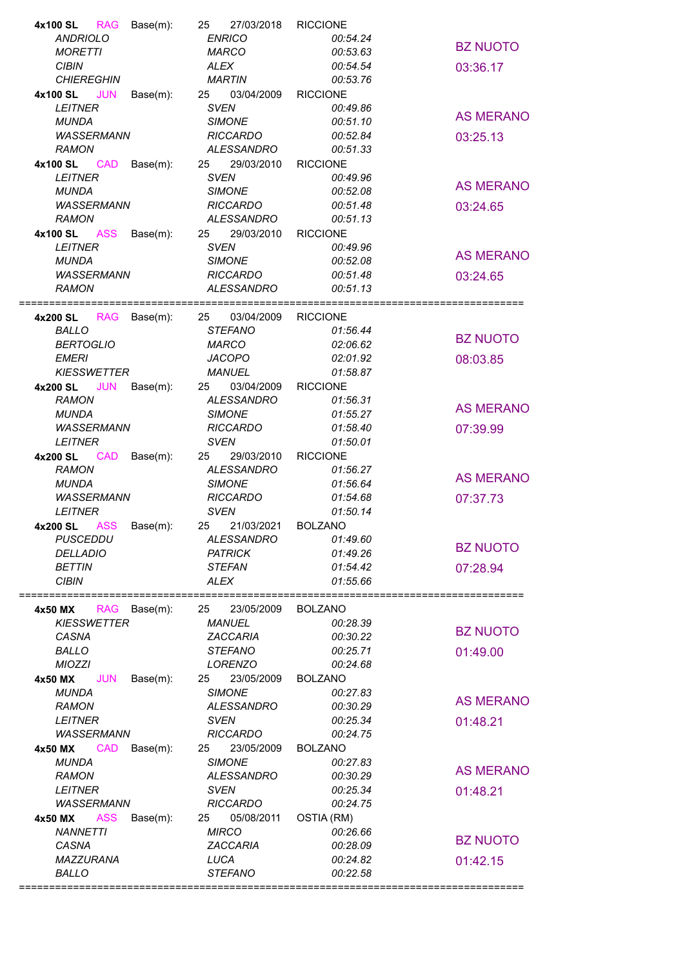| 4x100 SL<br>RAG        | Base(m):     | 27/03/2018<br>25  | <b>RICCIONE</b> |                  |
|------------------------|--------------|-------------------|-----------------|------------------|
| <b>ANDRIOLO</b>        |              | <b>ENRICO</b>     | 00:54.24        |                  |
| <b>MORETTI</b>         |              | <b>MARCO</b>      | 00:53.63        | <b>BZ NUOTO</b>  |
| <b>CIBIN</b>           |              | <b>ALEX</b>       | 00:54.54        | 03:36.17         |
| <b>CHIEREGHIN</b>      |              | <b>MARTIN</b>     | 00:53.76        |                  |
| <b>JUN</b>             |              |                   |                 |                  |
| 4x100 SL               | Base(m):     | 25<br>03/04/2009  | <b>RICCIONE</b> |                  |
| <b>LEITNER</b>         |              | <b>SVEN</b>       | 00:49.86        | <b>AS MERANO</b> |
| <b>MUNDA</b>           |              | <b>SIMONE</b>     | 00:51.10        |                  |
| <b>WASSERMANN</b>      |              | <b>RICCARDO</b>   | 00:52.84        | 03:25.13         |
| <b>RAMON</b>           |              | ALESSANDRO        | 00:51.33        |                  |
| <b>CAD</b><br>4x100 SL | Base(m):     | 25<br>29/03/2010  | <b>RICCIONE</b> |                  |
| <b>LEITNER</b>         |              | <b>SVEN</b>       | 00:49.96        |                  |
|                        |              |                   |                 | <b>AS MERANO</b> |
| <b>MUNDA</b>           |              | <b>SIMONE</b>     | 00:52.08        |                  |
| <b>WASSERMANN</b>      |              | <b>RICCARDO</b>   | 00:51.48        | 03:24.65         |
| <b>RAMON</b>           |              | <b>ALESSANDRO</b> | 00:51.13        |                  |
| <b>4x100 SL ASS</b>    | Base(m):     | 25<br>29/03/2010  | <b>RICCIONE</b> |                  |
| <b>LEITNER</b>         |              | <b>SVEN</b>       | 00:49.96        |                  |
| <b>MUNDA</b>           |              | <b>SIMONE</b>     | 00:52.08        | <b>AS MERANO</b> |
| <b>WASSERMANN</b>      |              | <b>RICCARDO</b>   | 00:51.48        | 03:24.65         |
|                        |              |                   |                 |                  |
| <b>RAMON</b>           |              | <b>ALESSANDRO</b> | 00:51.13        |                  |
|                        |              |                   |                 |                  |
| 4x200 SL               | RAG Base(m): | 03/04/2009<br>25  | <b>RICCIONE</b> |                  |
| <b>BALLO</b>           |              | <b>STEFANO</b>    | 01:56.44        |                  |
| <b>BERTOGLIO</b>       |              | <b>MARCO</b>      | 02:06.62        | <b>BZ NUOTO</b>  |
| <b>EMERI</b>           |              | <b>JACOPO</b>     | 02:01.92        | 08:03.85         |
| <b>KIESSWETTER</b>     |              | <b>MANUEL</b>     | 01:58.87        |                  |
|                        |              |                   |                 |                  |
| JUN<br>4x200 SL        | Base(m):     | 03/04/2009<br>25  | <b>RICCIONE</b> |                  |
| <b>RAMON</b>           |              | <b>ALESSANDRO</b> | 01:56.31        | <b>AS MERANO</b> |
| <b>MUNDA</b>           |              | <b>SIMONE</b>     | 01:55.27        |                  |
| <b>WASSERMANN</b>      |              | <b>RICCARDO</b>   | 01:58.40        | 07:39.99         |
| <b>LEITNER</b>         |              | <b>SVEN</b>       | 01:50.01        |                  |
| 4x200 SL<br><b>CAD</b> | Base(m):     | 29/03/2010<br>25  | <b>RICCIONE</b> |                  |
| <b>RAMON</b>           |              | <b>ALESSANDRO</b> | 01:56.27        |                  |
|                        |              |                   |                 | <b>AS MERANO</b> |
|                        |              | <b>SIMONE</b>     | 01:56.64        |                  |
| <b>MUNDA</b>           |              |                   |                 |                  |
| <b>WASSERMANN</b>      |              | <b>RICCARDO</b>   | 01:54.68        | 07:37.73         |
| <b>LEITNER</b>         |              | <b>SVEN</b>       | 01:50.14        |                  |
| 4x200 SL ASS           | Base(m):     | 21/03/2021<br>25  | <b>BOLZANO</b>  |                  |
|                        |              |                   |                 |                  |
| <b>PUSCEDDU</b>        |              | ALESSANDRO        | 01:49.60        | <b>BZ NUOTO</b>  |
| <b>DELLADIO</b>        |              | <b>PATRICK</b>    | 01:49.26        |                  |
| <b>BETTIN</b>          |              | <b>STEFAN</b>     | 01:54.42        | 07:28.94         |
| <b>CIBIN</b>           |              | <b>ALEX</b>       | 01:55.66        |                  |
|                        |              |                   |                 | ===============  |
| 4x50 MX<br><b>RAG</b>  | Base(m):     | 23/05/2009<br>25  | <b>BOLZANO</b>  |                  |
| <b>KIESSWETTER</b>     |              | <b>MANUEL</b>     | 00:28.39        |                  |
| CASNA                  |              | ZACCARIA          | 00:30.22        | <b>BZ NUOTO</b>  |
|                        |              |                   |                 |                  |
| <b>BALLO</b>           |              | <b>STEFANO</b>    | 00:25.71        | 01:49.00         |
| <b>MIOZZI</b>          |              | <b>LORENZO</b>    | 00:24.68        |                  |
| <b>JUN</b><br>4x50 MX  | Base(m):     | 23/05/2009<br>25  | <b>BOLZANO</b>  |                  |
| <b>MUNDA</b>           |              | <b>SIMONE</b>     | 00:27.83        |                  |
| <b>RAMON</b>           |              | <b>ALESSANDRO</b> | 00:30.29        | <b>AS MERANO</b> |
| <b>LEITNER</b>         |              | <b>SVEN</b>       | 00:25.34        | 01:48.21         |
| <b>WASSERMANN</b>      |              | <b>RICCARDO</b>   | 00:24.75        |                  |
|                        |              |                   |                 |                  |
| <b>CAD</b><br>4x50 MX  | Base(m):     | 23/05/2009<br>25  | <b>BOLZANO</b>  |                  |
| <b>MUNDA</b>           |              | <b>SIMONE</b>     | 00:27.83        | <b>AS MERANO</b> |
| <b>RAMON</b>           |              | <b>ALESSANDRO</b> | 00:30.29        |                  |
| <b>LEITNER</b>         |              | <b>SVEN</b>       | 00:25.34        | 01:48.21         |
| <b>WASSERMANN</b>      |              | <b>RICCARDO</b>   | 00:24.75        |                  |
| <b>ASS</b><br>4x50 MX  | Base(m):     | 05/08/2011<br>25  | OSTIA (RM)      |                  |
| <b>NANNETTI</b>        |              |                   | 00:26.66        |                  |
|                        |              | <b>MIRCO</b>      |                 | <b>BZ NUOTO</b>  |
| CASNA                  |              | ZACCARIA          | 00:28.09        |                  |
| MAZZURANA              |              | LUCA              | 00:24.82        | 01:42.15         |
| <b>BALLO</b>           |              | <b>STEFANO</b>    | 00:22.58        |                  |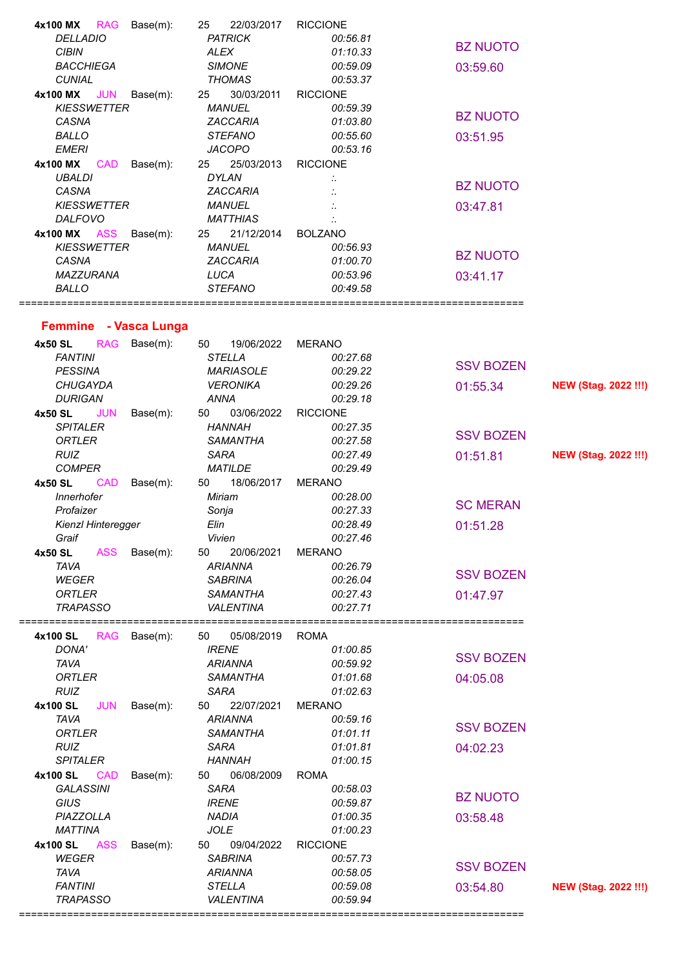| 4x100 MX<br>RAG<br>Base(m):                           | 22/03/2017<br>25                  | <b>RICCIONE</b>             |                  |                             |
|-------------------------------------------------------|-----------------------------------|-----------------------------|------------------|-----------------------------|
| <b>DELLADIO</b>                                       | <b>PATRICK</b>                    | 00:56.81                    | <b>BZ NUOTO</b>  |                             |
| <b>CIBIN</b>                                          | <b>ALEX</b>                       | 01:10.33                    |                  |                             |
| <b>BACCHIEGA</b>                                      | <b>SIMONE</b>                     | 00:59.09                    | 03:59.60         |                             |
| <b>CUNIAL</b>                                         | <b>THOMAS</b>                     | 00:53.37                    |                  |                             |
| <b>JUN</b><br>4x100 MX<br>Base(m):                    | 25<br>30/03/2011                  | <b>RICCIONE</b>             |                  |                             |
| <b>KIESSWETTER</b>                                    | <b>MANUEL</b>                     | 00:59.39                    | <b>BZ NUOTO</b>  |                             |
| CASNA                                                 | ZACCARIA                          | 01:03.80                    |                  |                             |
| <b>BALLO</b>                                          | <b>STEFANO</b>                    | 00:55.60                    | 03:51.95         |                             |
| <b>EMERI</b>                                          | <b>JACOPO</b>                     | 00:53.16                    |                  |                             |
| 4x100 MX<br><b>CAD</b><br>Base(m):                    | 25<br>25/03/2013                  | <b>RICCIONE</b>             |                  |                             |
| <b>UBALDI</b>                                         | <b>DYLAN</b>                      |                             | <b>BZ NUOTO</b>  |                             |
| CASNA                                                 | ZACCARIA                          |                             |                  |                             |
| <b>KIESSWETTER</b>                                    | <b>MANUEL</b>                     |                             | 03:47.81         |                             |
| <b>DALFOVO</b>                                        | <b>MATTHIAS</b>                   |                             |                  |                             |
| <b>4x100 MX ASS</b><br>Base(m):<br><b>KIESSWETTER</b> | 21/12/2014<br>25<br><b>MANUEL</b> | <b>BOLZANO</b>              |                  |                             |
| CASNA                                                 | ZACCARIA                          | 00:56.93<br>01:00.70        | <b>BZ NUOTO</b>  |                             |
| MAZZURANA                                             | LUCA                              |                             |                  |                             |
| <b>BALLO</b>                                          | <b>STEFANO</b>                    | 00:53.96<br>00:49.58        | 03:41.17         |                             |
|                                                       |                                   |                             |                  |                             |
|                                                       |                                   |                             |                  |                             |
| Femmine - Vasca Lunga                                 |                                   |                             |                  |                             |
| <b>RAG</b><br>Base(m):<br>4x50 SL                     | 19/06/2022<br>50                  | <b>MERANO</b>               |                  |                             |
| <b>FANTINI</b>                                        | <b>STELLA</b>                     | 00:27.68                    | <b>SSV BOZEN</b> |                             |
| <b>PESSINA</b>                                        | <b>MARIASOLE</b>                  | 00:29.22                    |                  |                             |
| <b>CHUGAYDA</b>                                       | <b>VERONIKA</b>                   | 00:29.26                    | 01:55.34         | <b>NEW (Stag. 2022 !!!)</b> |
| <b>DURIGAN</b>                                        | <b>ANNA</b>                       | 00:29.18                    |                  |                             |
| <b>JUN</b><br>Base(m):<br>4x50 SL                     | 03/06/2022<br>50                  | <b>RICCIONE</b>             |                  |                             |
| <b>SPITALER</b>                                       | <b>HANNAH</b>                     | 00:27.35                    | <b>SSV BOZEN</b> |                             |
| <b>ORTLER</b>                                         | <b>SAMANTHA</b>                   | 00:27.58                    |                  |                             |
|                                                       | <b>SARA</b>                       | 00:27.49                    | 01:51.81         | <b>NEW (Stag. 2022 !!!)</b> |
| <b>RUIZ</b>                                           |                                   |                             |                  |                             |
| <b>COMPER</b>                                         | <b>MATILDE</b>                    | 00:29.49                    |                  |                             |
| <b>CAD</b><br>4x50 SL<br>Base(m):                     | 18/06/2017<br>50                  | <b>MERANO</b>               |                  |                             |
| <b>Innerhofer</b>                                     | Miriam                            | 00:28.00                    |                  |                             |
| Profaizer                                             | Sonja                             | 00:27.33                    | <b>SC MERAN</b>  |                             |
| Kienzl Hinteregger                                    | Elin                              | 00:28.49                    | 01:51.28         |                             |
| Graif                                                 | Vivien                            | 00:27.46                    |                  |                             |
| 4x50 SL<br><b>ASS</b><br>Base(m):                     | 50<br>20/06/2021                  | <b>MERANO</b>               |                  |                             |
| <b>TAVA</b>                                           | <b>ARIANNA</b>                    | 00:26.79                    |                  |                             |
| <b>WEGER</b>                                          | <b>SABRINA</b>                    | 00:26.04                    | <b>SSV BOZEN</b> |                             |
| <b>ORTLER</b>                                         | <b>SAMANTHA</b>                   | 00:27.43                    | 01:47.97         |                             |
| <b>TRAPASSO</b>                                       | <b>VALENTINA</b>                  | 00:27.71                    |                  |                             |
|                                                       |                                   |                             |                  |                             |
| 4x100 SL<br>RAG<br>Base(m):                           | 05/08/2019<br>50                  | <b>ROMA</b>                 |                  |                             |
| DONA'                                                 | <b>IRENE</b>                      | 01:00.85                    | <b>SSV BOZEN</b> |                             |
| <b>TAVA</b>                                           | <b>ARIANNA</b>                    | 00:59.92                    |                  |                             |
| <b>ORTLER</b>                                         | <b>SAMANTHA</b>                   | 01:01.68                    | 04:05.08         |                             |
| <b>RUIZ</b><br><b>JUN</b>                             | <b>SARA</b><br>22/07/2021         | 01:02.63                    |                  |                             |
| 4x100 SL<br>Base(m):<br><b>TAVA</b>                   | 50<br><b>ARIANNA</b>              | <b>MERANO</b><br>00:59.16   |                  |                             |
| <b>ORTLER</b>                                         | <b>SAMANTHA</b>                   | 01:01.11                    | <b>SSV BOZEN</b> |                             |
| <b>RUIZ</b>                                           | <b>SARA</b>                       | 01:01.81                    |                  |                             |
| <b>SPITALER</b>                                       | <b>HANNAH</b>                     | 01:00.15                    | 04:02.23         |                             |
| <b>CAD</b>                                            | 50<br>06/08/2009                  | <b>ROMA</b>                 |                  |                             |
| 4x100 SL<br>Base(m):<br><b>GALASSINI</b>              | <b>SARA</b>                       |                             |                  |                             |
|                                                       |                                   | 00:58.03                    | <b>BZ NUOTO</b>  |                             |
| GIUS                                                  | <b>IRENE</b>                      | 00:59.87                    |                  |                             |
| PIAZZOLLA                                             | <b>NADIA</b>                      | 01:00.35                    | 03:58.48         |                             |
| <b>MATTINA</b>                                        | <b>JOLE</b><br>50                 | 01:00.23                    |                  |                             |
| <b>ASS</b><br>4x100 SL<br>Base(m):                    | 09/04/2022                        | <b>RICCIONE</b><br>00:57.73 |                  |                             |
| <b>WEGER</b>                                          | <b>SABRINA</b>                    |                             | <b>SSV BOZEN</b> |                             |
| <b>TAVA</b><br><b>FANTINI</b>                         | <b>ARIANNA</b><br><b>STELLA</b>   | 00:58.05                    |                  |                             |
| <b>TRAPASSO</b>                                       | <b>VALENTINA</b>                  | 00:59.08<br>00:59.94        | 03:54.80         | <b>NEW (Stag. 2022 !!!)</b> |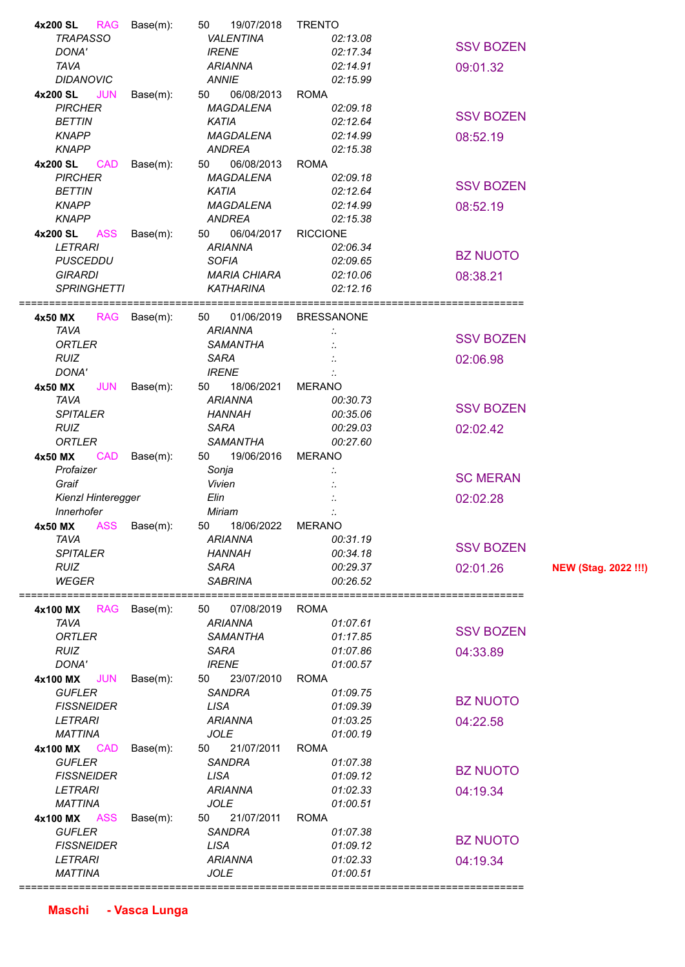| 4x200 SL<br>RAG<br>Base(m):        | 19/07/2018<br>50    | <b>TRENTO</b>     |                  |                             |
|------------------------------------|---------------------|-------------------|------------------|-----------------------------|
| <b>TRAPASSO</b>                    | <b>VALENTINA</b>    | 02:13.08          |                  |                             |
| DONA'                              | <b>IRENE</b>        | 02:17.34          | <b>SSV BOZEN</b> |                             |
| <b>TAVA</b>                        | <b>ARIANNA</b>      | 02:14.91          | 09:01.32         |                             |
| <b>DIDANOVIC</b>                   | <b>ANNIE</b>        | 02:15.99          |                  |                             |
| 4x200 SL<br><b>JUN</b><br>Base(m): | 06/08/2013<br>50    | <b>ROMA</b>       |                  |                             |
| <b>PIRCHER</b>                     | MAGDALENA           | 02:09.18          |                  |                             |
| <b>BETTIN</b>                      | <b>KATIA</b>        | 02:12.64          | <b>SSV BOZEN</b> |                             |
| <b>KNAPP</b>                       | <b>MAGDALENA</b>    | 02:14.99          |                  |                             |
|                                    |                     |                   | 08:52.19         |                             |
| <b>KNAPP</b>                       | <b>ANDREA</b>       | 02:15.38          |                  |                             |
| 4x200 SL<br><b>CAD</b><br>Base(m): | 06/08/2013<br>50    | <b>ROMA</b>       |                  |                             |
| <b>PIRCHER</b>                     | MAGDALENA           | 02:09.18          | <b>SSV BOZEN</b> |                             |
| <b>BETTIN</b>                      | <b>KATIA</b>        | 02:12.64          |                  |                             |
| <b>KNAPP</b>                       | MAGDALENA           | 02:14.99          | 08:52.19         |                             |
| <b>KNAPP</b>                       | <b>ANDREA</b>       | 02:15.38          |                  |                             |
| <b>4x200 SL ASS</b><br>Base(m):    | 50<br>06/04/2017    | <b>RICCIONE</b>   |                  |                             |
| <b>LETRARI</b>                     | <b>ARIANNA</b>      | 02:06.34          |                  |                             |
| <b>PUSCEDDU</b>                    | <b>SOFIA</b>        | 02:09.65          | <b>BZ NUOTO</b>  |                             |
| <b>GIRARDI</b>                     | <b>MARIA CHIARA</b> | 02:10.06          | 08:38.21         |                             |
| <b>SPRINGHETTI</b>                 | <b>KATHARINA</b>    | 02:12.16          |                  |                             |
|                                    |                     |                   |                  |                             |
|                                    |                     |                   |                  |                             |
| RAG Base(m):<br>4x50 MX            | 50<br>01/06/2019    | <b>BRESSANONE</b> |                  |                             |
| <b>TAVA</b>                        | <b>ARIANNA</b>      |                   | <b>SSV BOZEN</b> |                             |
| <b>ORTLER</b>                      | <b>SAMANTHA</b>     |                   |                  |                             |
| <b>RUIZ</b>                        | <b>SARA</b>         |                   | 02:06.98         |                             |
| DONA'                              | <b>IRENE</b>        |                   |                  |                             |
| <b>JUN</b><br>4x50 MX<br>Base(m):  | 18/06/2021<br>50    | <b>MERANO</b>     |                  |                             |
| <b>TAVA</b>                        | <b>ARIANNA</b>      | 00:30.73          |                  |                             |
| <b>SPITALER</b>                    | <b>HANNAH</b>       | 00:35.06          | <b>SSV BOZEN</b> |                             |
| <b>RUIZ</b>                        | <b>SARA</b>         | 00:29.03          | 02:02.42         |                             |
|                                    |                     |                   |                  |                             |
|                                    |                     |                   |                  |                             |
| <b>ORTLER</b>                      | <b>SAMANTHA</b>     | 00:27.60          |                  |                             |
| <b>CAD</b><br>4x50 MX<br>Base(m):  | 19/06/2016<br>50    | <b>MERANO</b>     |                  |                             |
| Profaizer                          | Sonja               |                   | <b>SC MERAN</b>  |                             |
| Graif                              | Vivien              |                   |                  |                             |
| Kienzl Hinteregger                 | Elin                |                   | 02:02.28         |                             |
| Innerhofer                         | Miriam              |                   |                  |                             |
| <b>ASS</b><br>4x50 MX<br>Base(m):  | 18/06/2022<br>50    | <b>MERANO</b>     |                  |                             |
| <b>TAVA</b>                        | <b>ARIANNA</b>      | 00:31.19          |                  |                             |
| <b>SPITALER</b>                    | <b>HANNAH</b>       | 00:34.18          | <b>SSV BOZEN</b> |                             |
| <b>RUIZ</b>                        | <b>SARA</b>         | 00:29.37          | 02:01.26         | <b>NEW (Stag. 2022 !!!)</b> |
| <b>WEGER</b>                       | <b>SABRINA</b>      | 00:26.52          |                  |                             |
|                                    |                     |                   | ================ |                             |
| <b>RAG</b>                         | 50                  | <b>ROMA</b>       |                  |                             |
| Base(m):<br>4x100 MX               | 07/08/2019          |                   |                  |                             |
| <b>TAVA</b>                        | <b>ARIANNA</b>      | 01:07.61          | <b>SSV BOZEN</b> |                             |
| <b>ORTLER</b>                      | <b>SAMANTHA</b>     | 01:17.85          |                  |                             |
| <b>RUIZ</b>                        | <b>SARA</b>         | 01:07.86          | 04:33.89         |                             |
| DONA'                              | <b>IRENE</b>        | 01:00.57          |                  |                             |
| <b>JUN</b><br>4x100 MX<br>Base(m): | 23/07/2010<br>50    | <b>ROMA</b>       |                  |                             |
| <b>GUFLER</b>                      | <b>SANDRA</b>       | 01:09.75          |                  |                             |
| <b>FISSNEIDER</b>                  | <b>LISA</b>         | 01:09.39          | <b>BZ NUOTO</b>  |                             |
| <b>LETRARI</b>                     | <b>ARIANNA</b>      | 01:03.25          | 04:22.58         |                             |
| <b>MATTINA</b>                     | <b>JOLE</b>         | 01:00.19          |                  |                             |
| 4x100 MX<br><b>CAD</b><br>Base(m): | 21/07/2011<br>50    | <b>ROMA</b>       |                  |                             |
| <b>GUFLER</b>                      | <b>SANDRA</b>       | 01:07.38          |                  |                             |
|                                    |                     |                   | <b>BZ NUOTO</b>  |                             |
| <b>FISSNEIDER</b>                  | <b>LISA</b>         | 01:09.12          |                  |                             |
| <b>LETRARI</b>                     | <b>ARIANNA</b>      | 01:02.33          | 04:19.34         |                             |
| <b>MATTINA</b>                     | <b>JOLE</b>         | 01:00.51          |                  |                             |
| <b>ASS</b><br>Base(m):<br>4x100 MX | 21/07/2011<br>50    | <b>ROMA</b>       |                  |                             |
| <b>GUFLER</b>                      | <b>SANDRA</b>       | 01:07.38          |                  |                             |
| <b>FISSNEIDER</b>                  | <b>LISA</b>         | 01:09.12          | <b>BZ NUOTO</b>  |                             |
| <b>LETRARI</b>                     | <b>ARIANNA</b>      | 01:02.33          | 04:19.34         |                             |
| <b>MATTINA</b>                     | <b>JOLE</b>         | 01:00.51          |                  |                             |

 **Maschi - Vasca Lunga**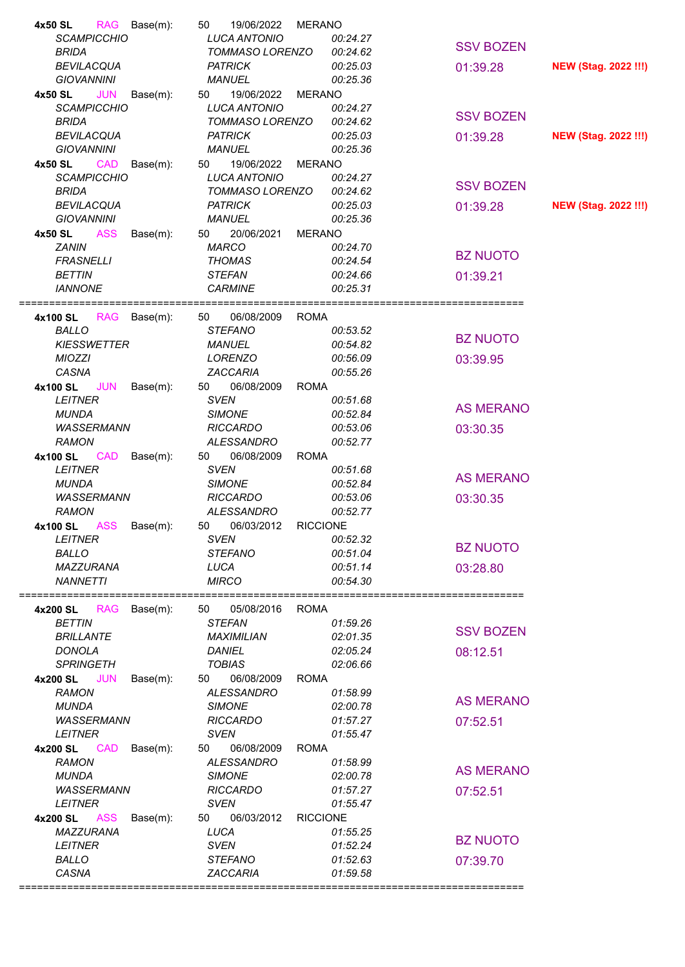| <b>BEVILACQUA</b><br><b>PATRICK</b><br>00:25.03<br><b>GIOVANNINI</b><br><b>MANUEL</b><br>00:25.36<br><b>JUN</b><br>4x50 SL<br>Base(m):<br>19/06/2022<br><b>MERANO</b><br>50 | <b>SSV BOZEN</b><br><b>NEW (Stag. 2022 !!!)</b><br>01:39.28 |
|-----------------------------------------------------------------------------------------------------------------------------------------------------------------------------|-------------------------------------------------------------|
| <b>SCAMPICCHIO</b><br><b>LUCA ANTONIO</b><br>00:24.27<br><b>BRIDA</b><br>TOMMASO LORENZO<br>00:24.62                                                                        | <b>SSV BOZEN</b>                                            |
| <b>BEVILACQUA</b><br><b>PATRICK</b><br>00:25.03<br><b>GIOVANNINI</b><br><b>MANUEL</b><br>00:25.36                                                                           | 01:39.28<br><b>NEW (Stag. 2022 !!!)</b>                     |
| <b>CAD</b><br>50<br>19/06/2022<br>4x50 SL<br>Base(m):<br>MERANO                                                                                                             |                                                             |
| <b>SCAMPICCHIO</b><br><b>LUCA ANTONIO</b><br>00:24.27                                                                                                                       | <b>SSV BOZEN</b>                                            |
| <b>BRIDA</b><br>TOMMASO LORENZO<br>00:24.62<br><b>BEVILACQUA</b><br><b>PATRICK</b><br>00:25.03                                                                              | 01:39.28<br><b>NEW (Stag. 2022 !!!)</b>                     |
| <b>GIOVANNINI</b><br><b>MANUEL</b><br>00:25.36                                                                                                                              |                                                             |
| <b>ASS</b><br>50<br>20/06/2021<br>4x50 SL<br>Base(m):<br>MERANO                                                                                                             |                                                             |
| <b>ZANIN</b><br><b>MARCO</b><br>00:24.70                                                                                                                                    | <b>BZ NUOTO</b>                                             |
| <b>FRASNELLI</b><br><b>THOMAS</b><br>00:24.54<br><b>BETTIN</b><br><b>STEFAN</b><br>00:24.66                                                                                 | 01:39.21                                                    |
| <b>IANNONE</b><br><b>CARMINE</b><br>00:25.31                                                                                                                                |                                                             |
|                                                                                                                                                                             |                                                             |
| 4x100 SL RAG Base(m):<br>50<br>06/08/2009<br><b>ROMA</b>                                                                                                                    |                                                             |
| <b>BALLO</b><br><b>STEFANO</b><br>00:53.52<br><b>KIESSWETTER</b><br>00:54.82<br><b>MANUEL</b>                                                                               | <b>BZ NUOTO</b>                                             |
| <b>MIOZZI</b><br>LORENZO<br>00:56.09                                                                                                                                        | 03:39.95                                                    |
| CASNA<br>ZACCARIA<br>00:55.26                                                                                                                                               |                                                             |
| 4x100 SL JUN<br>Base(m):<br>50<br>06/08/2009<br><b>ROMA</b>                                                                                                                 |                                                             |
| <b>LEITNER</b><br><b>SVEN</b><br>00:51.68                                                                                                                                   | <b>AS MERANO</b>                                            |
| <b>SIMONE</b><br>00:52.84<br><b>MUNDA</b><br><b>WASSERMANN</b><br><b>RICCARDO</b><br>00:53.06                                                                               | 03:30.35                                                    |
| <b>RAMON</b><br>ALESSANDRO<br>00:52.77                                                                                                                                      |                                                             |
| 4x100 SL CAD<br>Base(m):<br>06/08/2009<br><b>ROMA</b><br>50                                                                                                                 |                                                             |
| <b>LEITNER</b><br><b>SVEN</b><br>00:51.68                                                                                                                                   | <b>AS MERANO</b>                                            |
| <b>MUNDA</b><br><b>SIMONE</b><br>00:52.84                                                                                                                                   |                                                             |
| <b>WASSERMANN</b><br><b>RICCARDO</b><br>00:53.06<br><b>RAMON</b><br><b>ALESSANDRO</b><br>00:52.77                                                                           | 03:30.35                                                    |
| 06/03/2012<br><b>RICCIONE</b><br>4x100 SL ASS Base(m):<br>50                                                                                                                |                                                             |
| <b>SVEN</b><br><b>LEITNER</b><br>00:52.32                                                                                                                                   |                                                             |
| <b>BALLO</b><br><b>STEFANO</b><br>00:51.04                                                                                                                                  | <b>BZ NUOTO</b>                                             |
| MAZZURANA<br>LUCA<br>00:51.14<br><b>MIRCO</b><br><b>NANNETTI</b><br>00:54.30                                                                                                | 03:28.80                                                    |
|                                                                                                                                                                             |                                                             |
| =====================                                                                                                                                                       |                                                             |
| Base(m):<br>05/08/2016<br><b>ROMA</b><br>50<br>4x200 SL<br><b>RAG</b>                                                                                                       |                                                             |
| <b>BETTIN</b><br><b>STEFAN</b><br>01:59.26                                                                                                                                  |                                                             |
| <b>BRILLANTE</b><br>02:01.35<br>MAXIMILIAN                                                                                                                                  | <b>SSV BOZEN</b>                                            |
| <b>DONOLA</b><br>02:05.24<br><b>DANIEL</b>                                                                                                                                  | 08:12.51                                                    |
| <b>SPRINGETH</b><br><b>TOBIAS</b><br>02:06.66<br><b>JUN</b><br>06/08/2009<br>4x200 SL<br><b>ROMA</b><br>Base(m):<br>50                                                      |                                                             |
| <b>ALESSANDRO</b><br><b>RAMON</b><br>01:58.99                                                                                                                               |                                                             |
| <b>MUNDA</b><br><b>SIMONE</b><br>02:00.78                                                                                                                                   | <b>AS MERANO</b>                                            |
| <b>WASSERMANN</b><br><b>RICCARDO</b><br>01:57.27                                                                                                                            | 07:52.51                                                    |
| <b>SVEN</b><br>01:55.47<br><b>LEITNER</b><br><b>CAD</b><br>50<br>06/08/2009<br><b>ROMA</b>                                                                                  |                                                             |
| 4x200 SL<br>Base(m):<br><b>RAMON</b><br><b>ALESSANDRO</b><br>01:58.99                                                                                                       |                                                             |
| <b>MUNDA</b><br><b>SIMONE</b><br>02:00.78                                                                                                                                   | <b>AS MERANO</b>                                            |
| <b>RICCARDO</b><br><b>WASSERMANN</b><br>01:57.27                                                                                                                            | 07:52.51                                                    |
| <b>SVEN</b><br><b>LEITNER</b><br>01:55.47                                                                                                                                   |                                                             |
| <b>ASS</b><br>06/03/2012<br><b>RICCIONE</b><br>4x200 SL<br>Base(m):<br>50<br>MAZZURANA<br>LUCA<br>01:55.25                                                                  |                                                             |
| <b>LEITNER</b><br><b>SVEN</b><br>01:52.24                                                                                                                                   | <b>BZ NUOTO</b>                                             |
| <b>BALLO</b><br><b>STEFANO</b><br>01:52.63<br>CASNA<br>ZACCARIA<br>01:59.58                                                                                                 | 07:39.70                                                    |